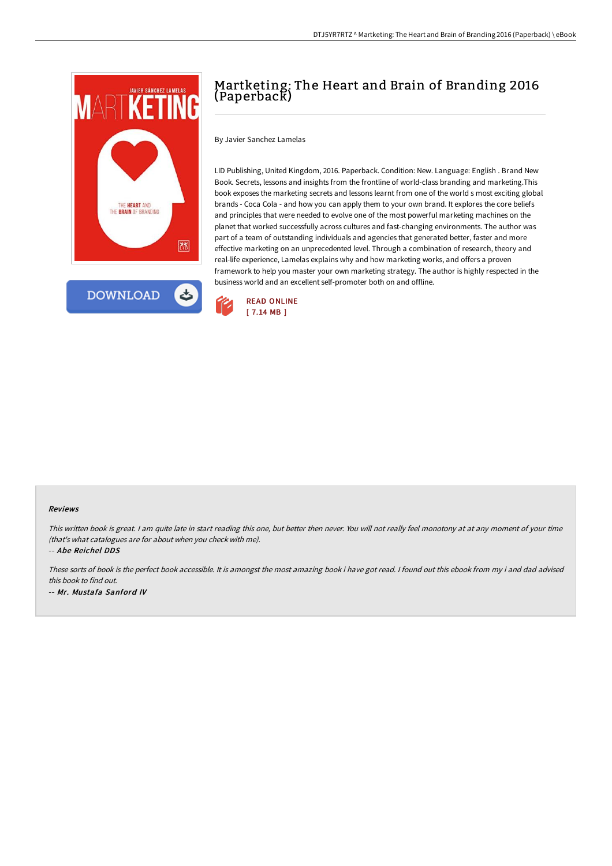



## Martketing: The Heart and Brain of Branding 2016 (Paperback)

By Javier Sanchez Lamelas

LID Publishing, United Kingdom, 2016. Paperback. Condition: New. Language: English . Brand New Book. Secrets, lessons and insights from the frontline of world-class branding and marketing.This book exposes the marketing secrets and lessons learnt from one of the world s most exciting global brands - Coca Cola - and how you can apply them to your own brand. It explores the core beliefs and principles that were needed to evolve one of the most powerful marketing machines on the planet that worked successfully across cultures and fast-changing environments. The author was part of a team of outstanding individuals and agencies that generated better, faster and more effective marketing on an unprecedented level. Through a combination of research, theory and real-life experience, Lamelas explains why and how marketing works, and offers a proven framework to help you master your own marketing strategy. The author is highly respected in the business world and an excellent self-promoter both on and offline.



## Reviews

This written book is great. <sup>I</sup> am quite late in start reading this one, but better then never. You will not really feel monotony at at any moment of your time (that's what catalogues are for about when you check with me).

-- Abe Reichel DDS

These sorts of book is the perfect book accessible. It is amongst the most amazing book i have got read. <sup>I</sup> found out this ebook from my i and dad advised this book to find out. -- Mr. Mustafa Sanford IV